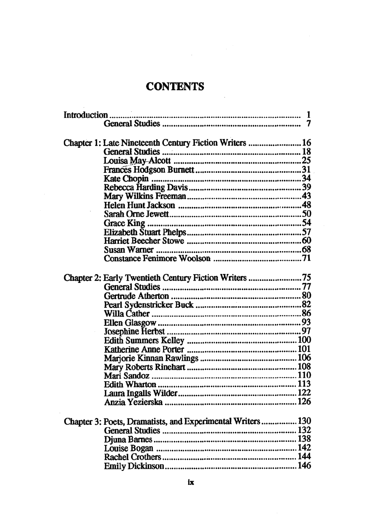## **CONTENTS**

 $\sim$   $\sim$ 

 $\mathcal{L}_{\mathcal{A}}$ 

 $\overline{\phantom{a}}$ 

| Chapter 1: Late Nineteenth Century Fiction Writers  16<br>Chapter 2: Early Twentieth Century Fiction Writers 75 |  |  |  |  |
|-----------------------------------------------------------------------------------------------------------------|--|--|--|--|
|                                                                                                                 |  |  |  |  |
|                                                                                                                 |  |  |  |  |
|                                                                                                                 |  |  |  |  |
|                                                                                                                 |  |  |  |  |
|                                                                                                                 |  |  |  |  |
|                                                                                                                 |  |  |  |  |
|                                                                                                                 |  |  |  |  |
|                                                                                                                 |  |  |  |  |
|                                                                                                                 |  |  |  |  |
|                                                                                                                 |  |  |  |  |
|                                                                                                                 |  |  |  |  |
|                                                                                                                 |  |  |  |  |
|                                                                                                                 |  |  |  |  |
|                                                                                                                 |  |  |  |  |
|                                                                                                                 |  |  |  |  |
|                                                                                                                 |  |  |  |  |
|                                                                                                                 |  |  |  |  |
|                                                                                                                 |  |  |  |  |
|                                                                                                                 |  |  |  |  |
|                                                                                                                 |  |  |  |  |
|                                                                                                                 |  |  |  |  |
|                                                                                                                 |  |  |  |  |
|                                                                                                                 |  |  |  |  |
|                                                                                                                 |  |  |  |  |
|                                                                                                                 |  |  |  |  |
|                                                                                                                 |  |  |  |  |
|                                                                                                                 |  |  |  |  |
|                                                                                                                 |  |  |  |  |
|                                                                                                                 |  |  |  |  |
|                                                                                                                 |  |  |  |  |
|                                                                                                                 |  |  |  |  |
|                                                                                                                 |  |  |  |  |
|                                                                                                                 |  |  |  |  |
|                                                                                                                 |  |  |  |  |
|                                                                                                                 |  |  |  |  |
| Chapter 3: Poets, Dramatists, and Experimental Writers 130                                                      |  |  |  |  |
|                                                                                                                 |  |  |  |  |
|                                                                                                                 |  |  |  |  |
|                                                                                                                 |  |  |  |  |
|                                                                                                                 |  |  |  |  |
|                                                                                                                 |  |  |  |  |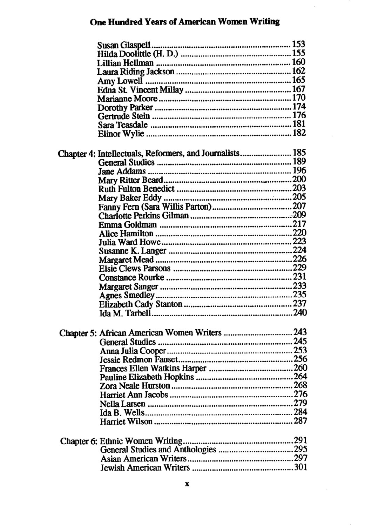## **One Hundred Years of American Women Writing**

 $\overline{\phantom{a}}$